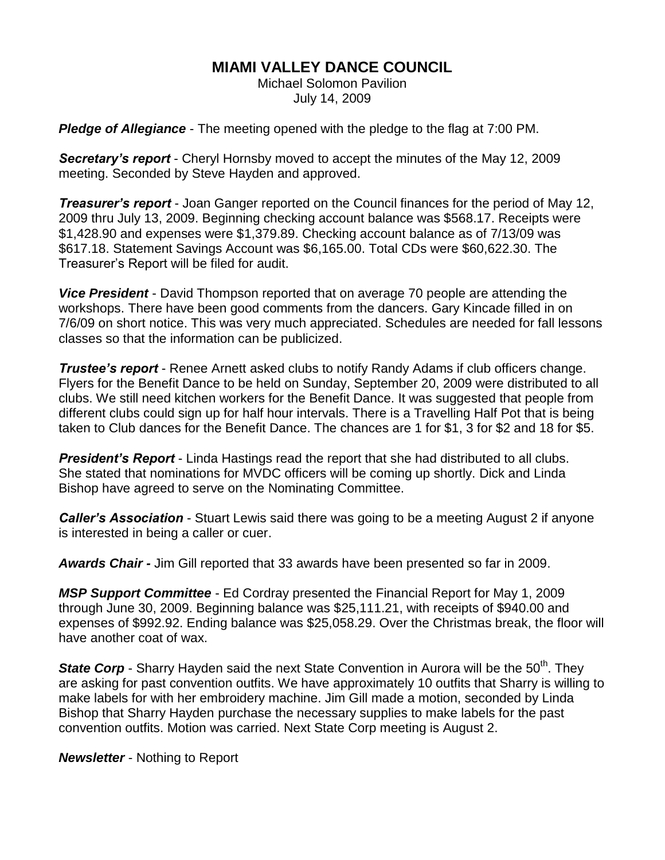## **MIAMI VALLEY DANCE COUNCIL**

Michael Solomon Pavilion July 14, 2009

*Pledge of Allegiance* - The meeting opened with the pledge to the flag at 7:00 PM.

*Secretary's report* - Cheryl Hornsby moved to accept the minutes of the May 12, 2009 meeting. Seconded by Steve Hayden and approved.

*Treasurer's report* - Joan Ganger reported on the Council finances for the period of May 12, 2009 thru July 13, 2009. Beginning checking account balance was \$568.17. Receipts were \$1,428.90 and expenses were \$1,379.89. Checking account balance as of 7/13/09 was \$617.18. Statement Savings Account was \$6,165.00. Total CDs were \$60,622.30. The Treasurer's Report will be filed for audit.

*Vice President* - David Thompson reported that on average 70 people are attending the workshops. There have been good comments from the dancers. Gary Kincade filled in on 7/6/09 on short notice. This was very much appreciated. Schedules are needed for fall lessons classes so that the information can be publicized.

*Trustee's report* - Renee Arnett asked clubs to notify Randy Adams if club officers change. Flyers for the Benefit Dance to be held on Sunday, September 20, 2009 were distributed to all clubs. We still need kitchen workers for the Benefit Dance. It was suggested that people from different clubs could sign up for half hour intervals. There is a Travelling Half Pot that is being taken to Club dances for the Benefit Dance. The chances are 1 for \$1, 3 for \$2 and 18 for \$5.

*President's Report* - Linda Hastings read the report that she had distributed to all clubs. She stated that nominations for MVDC officers will be coming up shortly. Dick and Linda Bishop have agreed to serve on the Nominating Committee.

*Caller's Association* - Stuart Lewis said there was going to be a meeting August 2 if anyone is interested in being a caller or cuer.

*Awards Chair -* Jim Gill reported that 33 awards have been presented so far in 2009.

*MSP Support Committee* - Ed Cordray presented the Financial Report for May 1, 2009 through June 30, 2009. Beginning balance was \$25,111.21, with receipts of \$940.00 and expenses of \$992.92. Ending balance was \$25,058.29. Over the Christmas break, the floor will have another coat of wax.

**State Corp** - Sharry Hayden said the next State Convention in Aurora will be the 50<sup>th</sup>. They are asking for past convention outfits. We have approximately 10 outfits that Sharry is willing to make labels for with her embroidery machine. Jim Gill made a motion, seconded by Linda Bishop that Sharry Hayden purchase the necessary supplies to make labels for the past convention outfits. Motion was carried. Next State Corp meeting is August 2.

*Newsletter* - Nothing to Report